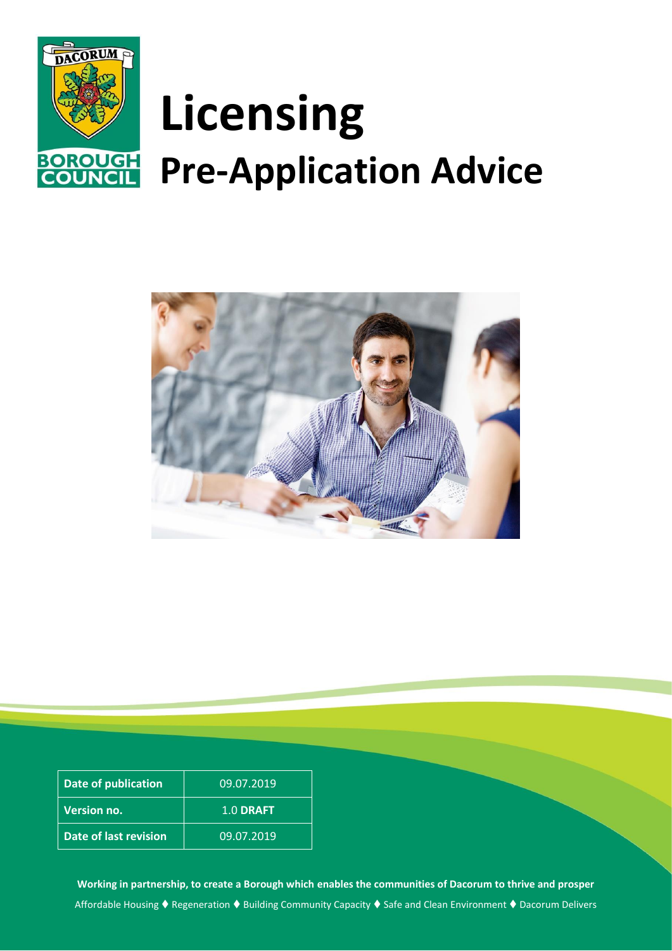

# **Licensing Pre-Application Advice**



| Date of publication   | 09.07.2019 |
|-----------------------|------------|
| <b>Version no.</b>    | 1.0 DRAFT  |
| Date of last revision | 09.07.2019 |

**Working in partnership, to create a Borough which enables the communities of Dacorum to thrive and prosper** Affordable Housing ♦ Regeneration ♦ Building Community Capacity ♦ Safe and Clean Environment ♦ Dacorum Delivers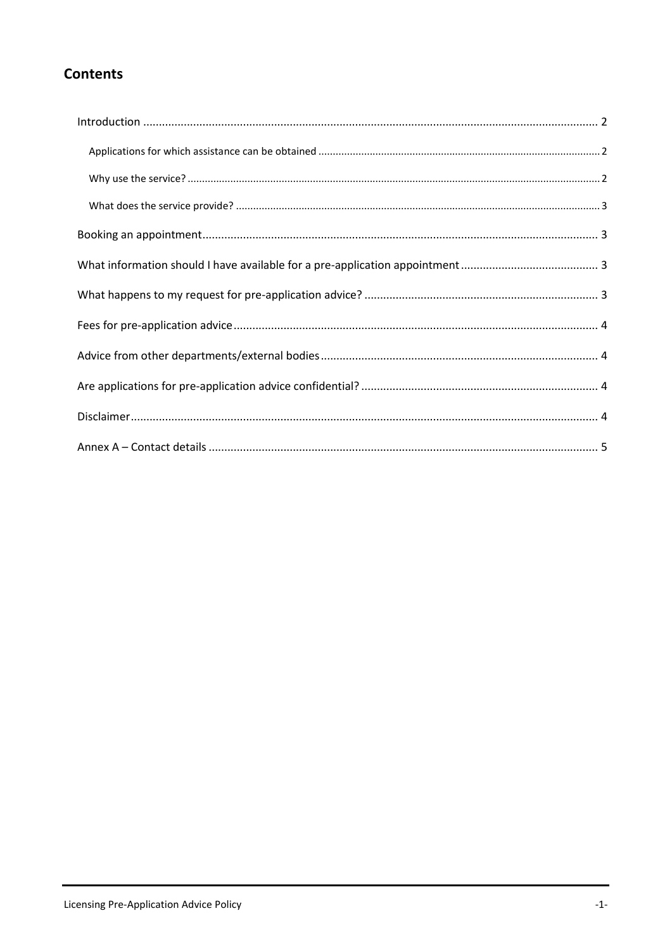## **Contents**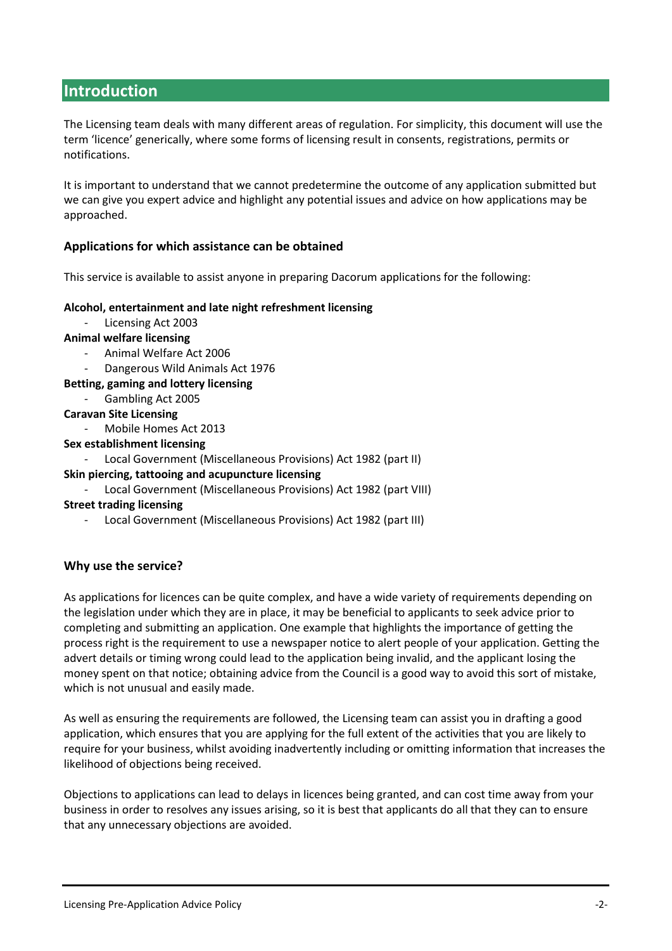## <span id="page-2-0"></span>**Introduction**

The Licensing team deals with many different areas of regulation. For simplicity, this document will use the term 'licence' generically, where some forms of licensing result in consents, registrations, permits or notifications.

It is important to understand that we cannot predetermine the outcome of any application submitted but we can give you expert advice and highlight any potential issues and advice on how applications may be approached.

#### <span id="page-2-1"></span>**Applications for which assistance can be obtained**

This service is available to assist anyone in preparing Dacorum applications for the following:

#### **Alcohol, entertainment and late night refreshment licensing**

Licensing Act 2003

#### **Animal welfare licensing**

- Animal Welfare Act 2006
- Dangerous Wild Animals Act 1976

#### **Betting, gaming and lottery licensing**

Gambling Act 2005

#### **Caravan Site Licensing**

- Mobile Homes Act 2013

#### **Sex establishment licensing**

- Local Government (Miscellaneous Provisions) Act 1982 (part II)

#### **Skin piercing, tattooing and acupuncture licensing**

- Local Government (Miscellaneous Provisions) Act 1982 (part VIII)
- **Street trading licensing**
	- Local Government (Miscellaneous Provisions) Act 1982 (part III)

#### <span id="page-2-2"></span>**Why use the service?**

As applications for licences can be quite complex, and have a wide variety of requirements depending on the legislation under which they are in place, it may be beneficial to applicants to seek advice prior to completing and submitting an application. One example that highlights the importance of getting the process right is the requirement to use a newspaper notice to alert people of your application. Getting the advert details or timing wrong could lead to the application being invalid, and the applicant losing the money spent on that notice; obtaining advice from the Council is a good way to avoid this sort of mistake, which is not unusual and easily made.

As well as ensuring the requirements are followed, the Licensing team can assist you in drafting a good application, which ensures that you are applying for the full extent of the activities that you are likely to require for your business, whilst avoiding inadvertently including or omitting information that increases the likelihood of objections being received.

Objections to applications can lead to delays in licences being granted, and can cost time away from your business in order to resolves any issues arising, so it is best that applicants do all that they can to ensure that any unnecessary objections are avoided.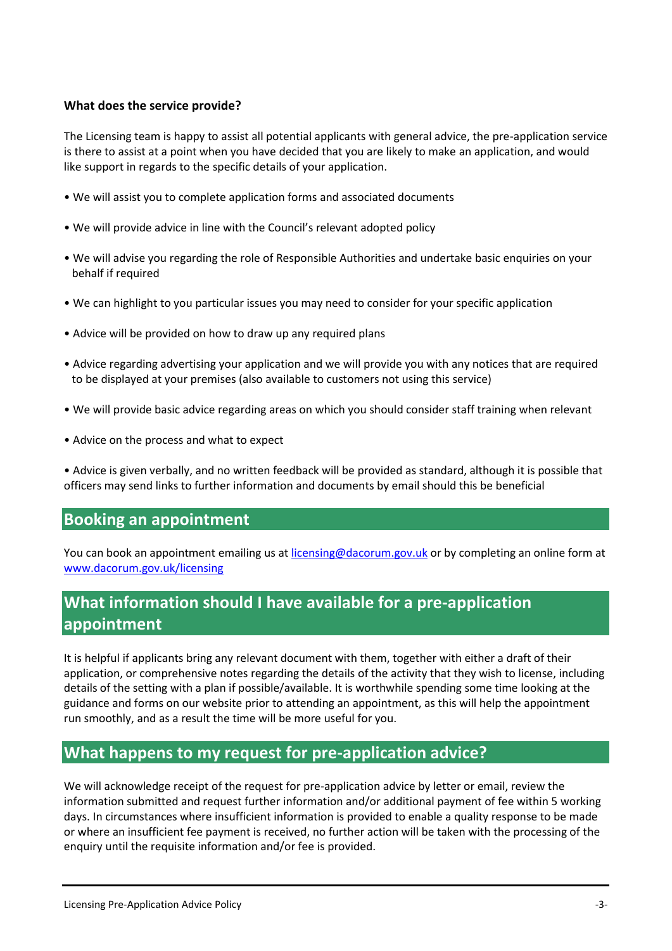#### <span id="page-3-0"></span>**What does the service provide?**

The Licensing team is happy to assist all potential applicants with general advice, the pre-application service is there to assist at a point when you have decided that you are likely to make an application, and would like support in regards to the specific details of your application.

- We will assist you to complete application forms and associated documents
- We will provide advice in line with the Council's relevant adopted policy
- We will advise you regarding the role of Responsible Authorities and undertake basic enquiries on your behalf if required
- We can highlight to you particular issues you may need to consider for your specific application
- Advice will be provided on how to draw up any required plans
- Advice regarding advertising your application and we will provide you with any notices that are required to be displayed at your premises (also available to customers not using this service)
- We will provide basic advice regarding areas on which you should consider staff training when relevant
- Advice on the process and what to expect

• Advice is given verbally, and no written feedback will be provided as standard, although it is possible that officers may send links to further information and documents by email should this be beneficial

## <span id="page-3-1"></span>**Booking an appointment**

You can book an appointment emailing us at [licensing@dacorum.gov.uk](mailto:licensing@dacorum.gov.uk) or by completing an online form at [www.dacorum.gov.uk/licensing](http://www.dacorum.gov.uk/licensing)

## <span id="page-3-2"></span>**What information should I have available for a pre-application appointment**

It is helpful if applicants bring any relevant document with them, together with either a draft of their application, or comprehensive notes regarding the details of the activity that they wish to license, including details of the setting with a plan if possible/available. It is worthwhile spending some time looking at the guidance and forms on our website prior to attending an appointment, as this will help the appointment run smoothly, and as a result the time will be more useful for you.

## <span id="page-3-3"></span>**What happens to my request for pre-application advice?**

We will acknowledge receipt of the request for pre-application advice by letter or email, review the information submitted and request further information and/or additional payment of fee within 5 working days. In circumstances where insufficient information is provided to enable a quality response to be made or where an insufficient fee payment is received, no further action will be taken with the processing of the enquiry until the requisite information and/or fee is provided.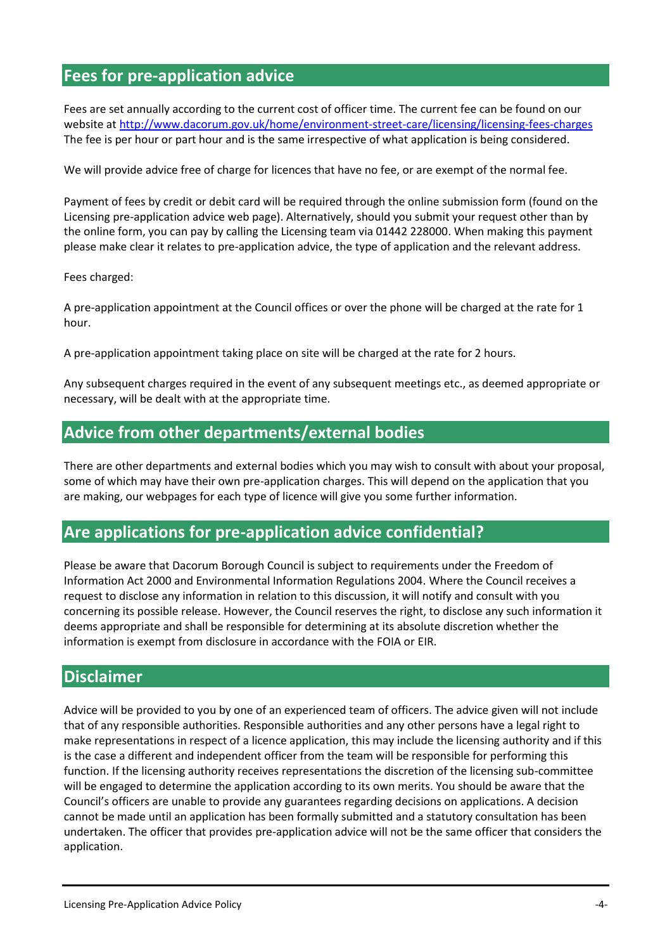## <span id="page-4-0"></span>**Fees for pre-application advice**

Fees are set annually according to the current cost of officer time. The current fee can be found on our website a[t http://www.dacorum.gov.uk/home/environment-street-care/licensing/licensing-fees-charges](http://www.dacorum.gov.uk/home/environment-street-care/licensing/licensing-fees-charges) The fee is per hour or part hour and is the same irrespective of what application is being considered.

We will provide advice free of charge for licences that have no fee, or are exempt of the normal fee.

Payment of fees by credit or debit card will be required through the online submission form (found on the Licensing pre-application advice web page). Alternatively, should you submit your request other than by the online form, you can pay by calling the Licensing team via 01442 228000. When making this payment please make clear it relates to pre-application advice, the type of application and the relevant address.

#### Fees charged:

A pre-application appointment at the Council offices or over the phone will be charged at the rate for 1 hour.

A pre-application appointment taking place on site will be charged at the rate for 2 hours.

Any subsequent charges required in the event of any subsequent meetings etc., as deemed appropriate or necessary, will be dealt with at the appropriate time.

## <span id="page-4-1"></span>**Advice from other departments/external bodies**

There are other departments and external bodies which you may wish to consult with about your proposal, some of which may have their own pre-application charges. This will depend on the application that you are making, our webpages for each type of licence will give you some further information.

### <span id="page-4-2"></span>**Are applications for pre-application advice confidential?**

Please be aware that Dacorum Borough Council is subject to requirements under the Freedom of Information Act 2000 and Environmental Information Regulations 2004. Where the Council receives a request to disclose any information in relation to this discussion, it will notify and consult with you concerning its possible release. However, the Council reserves the right, to disclose any such information it deems appropriate and shall be responsible for determining at its absolute discretion whether the information is exempt from disclosure in accordance with the FOIA or EIR.

#### <span id="page-4-3"></span>**Disclaimer**

Advice will be provided to you by one of an experienced team of officers. The advice given will not include that of any responsible authorities. Responsible authorities and any other persons have a legal right to make representations in respect of a licence application, this may include the licensing authority and if this is the case a different and independent officer from the team will be responsible for performing this function. If the licensing authority receives representations the discretion of the licensing sub-committee will be engaged to determine the application according to its own merits. You should be aware that the Council's officers are unable to provide any guarantees regarding decisions on applications. A decision cannot be made until an application has been formally submitted and a statutory consultation has been undertaken. The officer that provides pre-application advice will not be the same officer that considers the application.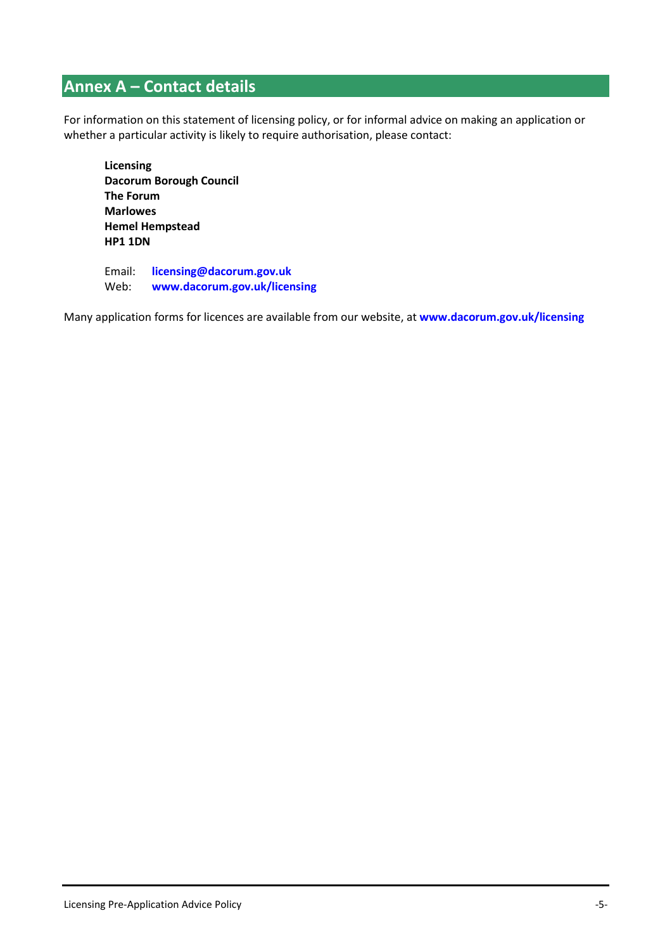# <span id="page-5-0"></span>**Annex A – Contact details**

For information on this statement of licensing policy, or for informal advice on making an application or whether a particular activity is likely to require authorisation, please contact:

**Licensing Dacorum Borough Council The Forum Marlowes Hemel Hempstead HP1 1DN**

Email: **[licensing@dacorum.gov.uk](mailto:licensing@dacorum.gov.uk)** Web: **[www.dacorum.gov.uk/licensing](http://www.dacorum.gov.uk/licensing)**

Many application forms for licences are available from our website, at **[www.dacorum.gov.uk/licensing](http://www.dacorum.gov.uk/licensing)**